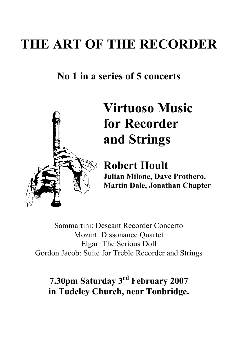## **THE ART OF THE RECORDER**

## **No 1 in a series of 5 concerts**



# **Virtuoso Music for Recorder and Strings**

**Robert Hoult Julian Milone, Dave Prothero, Martin Dale, Jonathan Chapter**

Sammartini: Descant Recorder Concerto Mozart: Dissonance Quartet Elgar: The Serious Doll Gordon Jacob: Suite for Treble Recorder and Strings

**7.30pm Saturday 3 rd February 2007 in Tudeley Church, near Tonbridge.**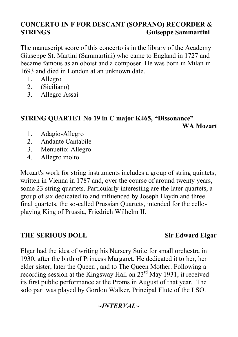### **CONCERTO IN F FOR DESCANT (SOPRANO) RECORDER & STRINGS Guiseppe Sammartini**

The manuscript score of this concerto is in the library of the Academy Giuseppe St. Martini (Sammartini) who came to England in 1727 and became famous as an oboist and a composer. He was born in Milan in 1693 and died in London at an unknown date.

- 1. Allegro
- 2. (Siciliano)
- 3. Allegro Assai

### **STRING QUARTET No 19 in C major K465, "Dissonance"**

**WA Mozart**

- 1. Adagio-Allegro
- 2. Andante Cantabile
- 3. Menuetto: Allegro
- 4. Allegro molto

Mozart's work for string instruments includes a group of string quintets, written in Vienna in 1787 and, over the course of around twenty years, some 23 string quartets. Particularly interesting are the later quartets, a group of six dedicated to and influenced by Joseph Haydn and three final quartets, the so-called Prussian Quartets, intended for the celloplaying King of Prussia, Friedrich Wilhelm II.

### **THE SERIOUS DOLL Sir Edward Elgar**

Elgar had the idea of writing his Nursery Suite for small orchestra in 1930, after the birth of Princess Margaret. He dedicated it to her, her elder sister, later the Queen , and to The Queen Mother. Following a recording session at the Kingsway Hall on 23<sup>rd</sup> May 1931, it received its first public performance at the Proms in August of that year. The solo part was played by Gordon Walker, Principal Flute of the LSO.

### *~INTERVAL~*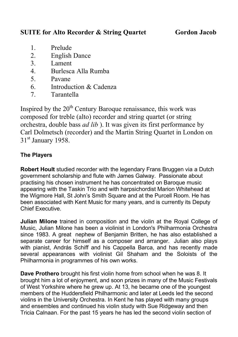### **SUITE for Alto Recorder & String Quartet Gordon Jacob**

- 1. Prelude
- 2. English Dance
- 3. Lament
- 4. Burlesca Alla Rumba
- 5. Pavane
- 6. Introduction & Cadenza
- 7. Tarantella

Inspired by the  $20<sup>th</sup>$  Century Baroque renaissance, this work was composed for treble (alto) recorder and string quartet (or string orchestra, double bass *ad lib* ). It was given its first performance by Carl Dolmetsch (recorder) and the Martin String Quartet in London on  $31<sup>st</sup>$  January 1958.

### **The Players**

**Robert Hoult** studied recorder with the legendary Frans Bruggen via a Dutch government scholarship and flute with James Galway. Passionate about practising his chosen instrument he has concentrated on Baroque music appearing with the Taskin Trio and with harpsichordist Marion Whitehead at the Wigmore Hall, St John's Smith Square and at the Purcell Room. He has been associated with Kent Music for many years, and is currently its Deputy Chief Executive.

**Julian Milone** trained in composition and the violin at the Royal College of Music, Julian Milone has been a violinist in London's Philharmonia Orchestra since 1983. A great nephew of Benjamin Britten, he has also established a separate career for himself as a composer and arranger. Julian also plays with pianist, András Schiff and his Cappella Barca, and has recently made several appearances with violinist Gil Shaham and the Soloists of the Philharmonia in programmes of his own works.

**Dave Prothero** brought his first violin home from school when he was 8. It brought him a lot of enjoyment, and soon prizes in many of the Music Festivals of West Yorkshire where he grew up. At 13, he became one of the youngest members of the Huddersfield Philharmonic and later at Leeds led the second violins in the University Orchestra. In Kent he has played with many groups and ensembles and continued his violin study with Sue Ridgeway and then Tricia Calnaan. For the past 15 years he has led the second violin section of